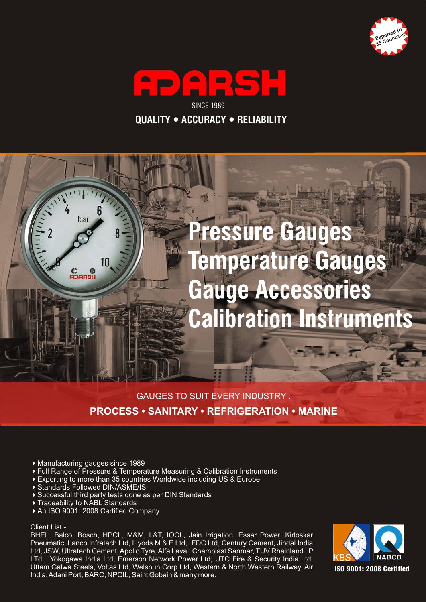





### GAUGES TO SUIT EVERY INDUSTRY : **PROCESS • SANITARY • REFRIGERATION • MARINE**

- Manufacturing gauges since 1989
- Full Range of Pressure & Temperature Measuring & Calibration Instruments  $\blacktriangleright$
- Exporting to more than 35 countries Worldwide including US & Europe.  $\blacktriangleright$
- ▶ Standards Followed DIN/ASME/IS
- Successful third party tests done as per DIN Standards
- ▶ Traceability to NABL Standards
- ▶ An ISO 9001: 2008 Certified Company

#### Client List -

BHEL, Balco, Bosch, HPCL, M&M, L&T, IOCL, Jain Irrigation, Essar Power, Kirloskar Pneumatic, Lanco Infratech Ltd, Llyods M & E Ltd, FDC Ltd, Century Cement, Jindal India Ltd, JSW, Ultratech Cement, Apollo Tyre, Alfa Laval, Chemplast Sanmar, TUV Rheinland I P LTd, Yokogawa India Ltd, Emerson Network Power Ltd, UTC Fire & Security India Ltd, Uttam Galwa Steels, Voltas Ltd, Welspun Corp Ltd, Western & North Western Railway, Air India, Adani Port, BARC, NPCIL, Saint Gobain & many more.

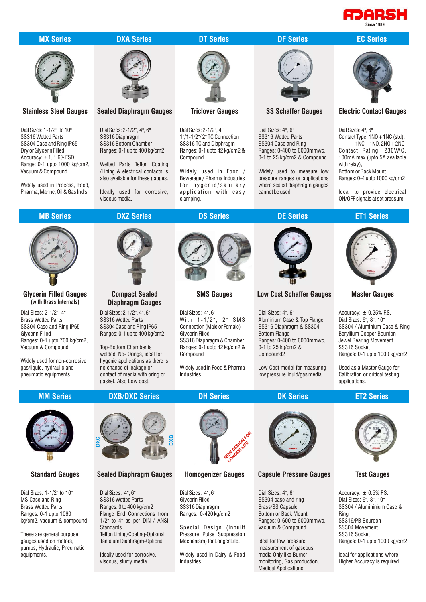

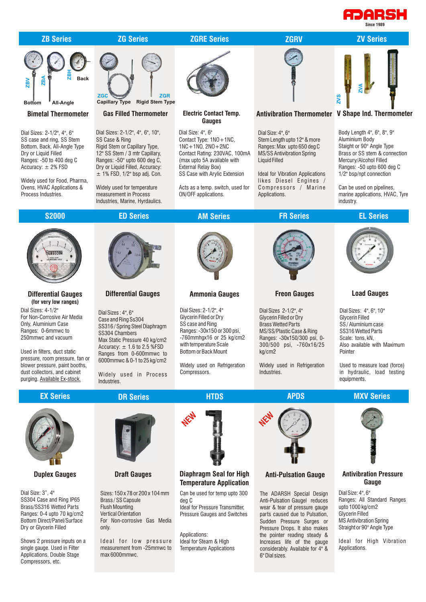# PARSH



Dial Size: 3", 4" SS304 Case and Ring IP65 Brass/SS316 Wetted Parts Ranges: 0-4 upto 70 kg/cm2 Bottom Direct/Panel/Surface Dry or Glycerin Filled

Shows 2 pressure inputs on a single gauge. Used in Filter Applications, Double Stage Compressors, etc.

#### **Draft Gauges**

Sizes: 150 x 78 or 200 x 104 mm Brass / SS Capsule Flush Mounting Vertical Orientation For Non-corrosive Gas Media only.

I deal for low pressure measurement from -25mmwc to max 6000mmwc.

## **Temperature Application**

Can be used for temp upto 300 deg C

Ideal for Pressure Transmitter, Pressure Gauges and Switches

Applications: Ideal for Steam & High Temperature Applications

#### **Anti-Pulsation Gauge**

The ADARSH Special Design Anti-Pulsation Gaugel reduces wear & tear of pressure gauge parts caused due to Pulsation, Sudden Pressure Surges or Pressure Drops. It also makes the pointer reading steady & Increases life of the gauge considerably. Available for 4" & 6" Dial sizes.

### **Gauge**

Dial Size: 4", 6" Ranges: All Standard Ranges upto 1000 kg/cm2 Glycerin Filled MS Antivibration Spring Straight or 90° Angle Type

Ideal for High Vibration Applications.